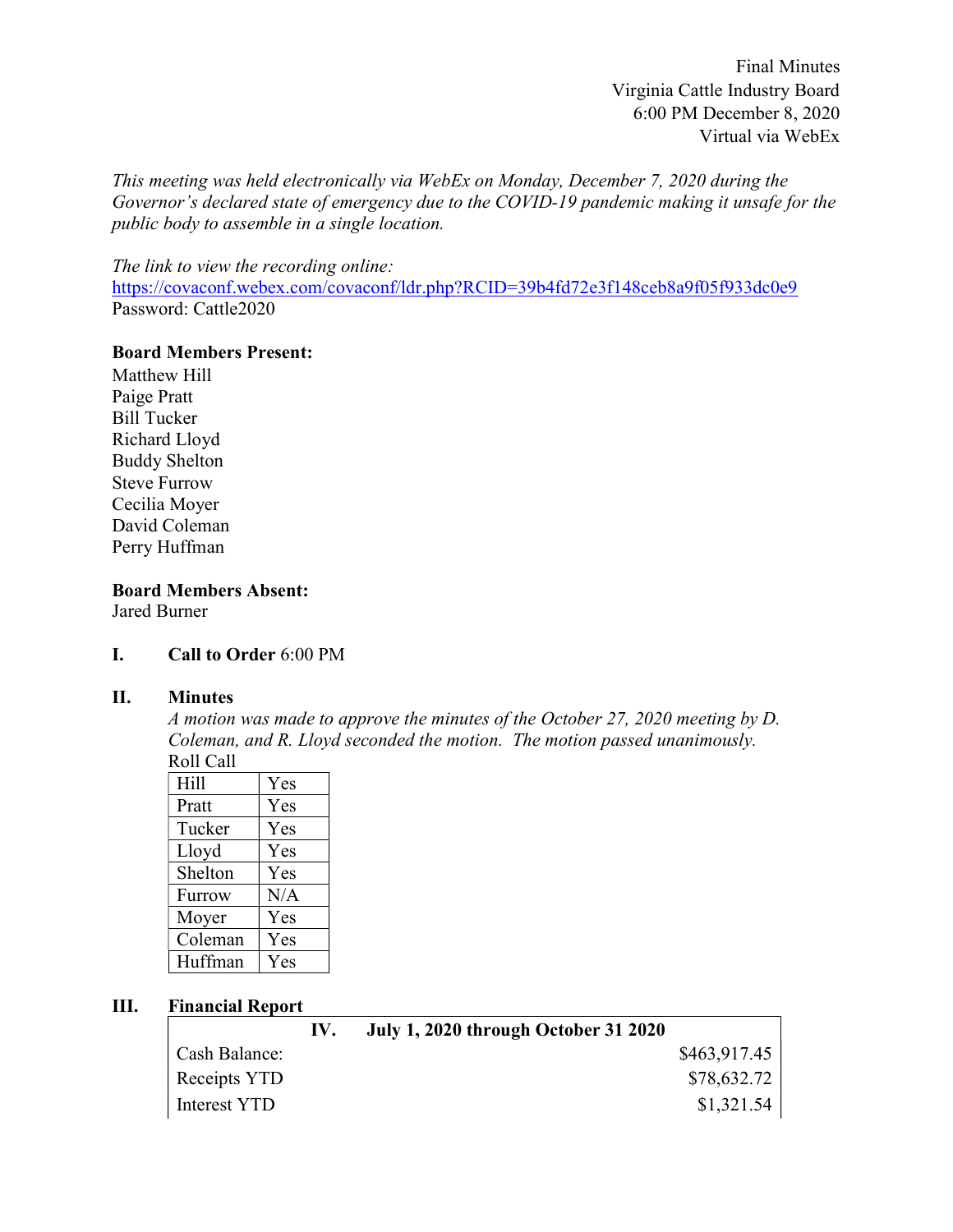Final Minutes Virginia Cattle Industry Board 6:00 PM December 8, 2020 Virtual via WebEx

This meeting was held electronically via WebEx on Monday, December 7, 2020 during the Governor's declared state of emergency due to the COVID-19 pandemic making it unsafe for the public body to assemble in a single location.

The link to view the recording online:

https://covaconf.webex.com/covaconf/ldr.php?RCID=39b4fd72e3f148ceb8a9f05f933dc0e9 Password: Cattle2020

#### Board Members Present:

Matthew Hill Paige Pratt Bill Tucker Richard Lloyd Buddy Shelton Steve Furrow Cecilia Moyer David Coleman Perry Huffman

#### Board Members Absent: Jared Burner

## I. Call to Order 6:00 PM

## II. Minutes

A motion was made to approve the minutes of the October 27, 2020 meeting by D. Coleman, and R. Lloyd seconded the motion. The motion passed unanimously. Roll Call

| Hill    | Yes |
|---------|-----|
| Pratt   | Yes |
| Tucker  | Yes |
| Lloyd   | Yes |
| Shelton | Yes |
| Furrow  | N/A |
| Moyer   | Yes |
| Coleman | Yes |
| Huffman | Yes |

## III. Financial Report

|               | $\mathbf{IV}_{\text{L}}$ | <b>July 1, 2020 through October 31 2020</b> |              |
|---------------|--------------------------|---------------------------------------------|--------------|
| Cash Balance: |                          |                                             | \$463,917.45 |
| Receipts YTD  |                          |                                             | \$78,632.72  |
| Interest YTD  |                          |                                             | \$1,321.54   |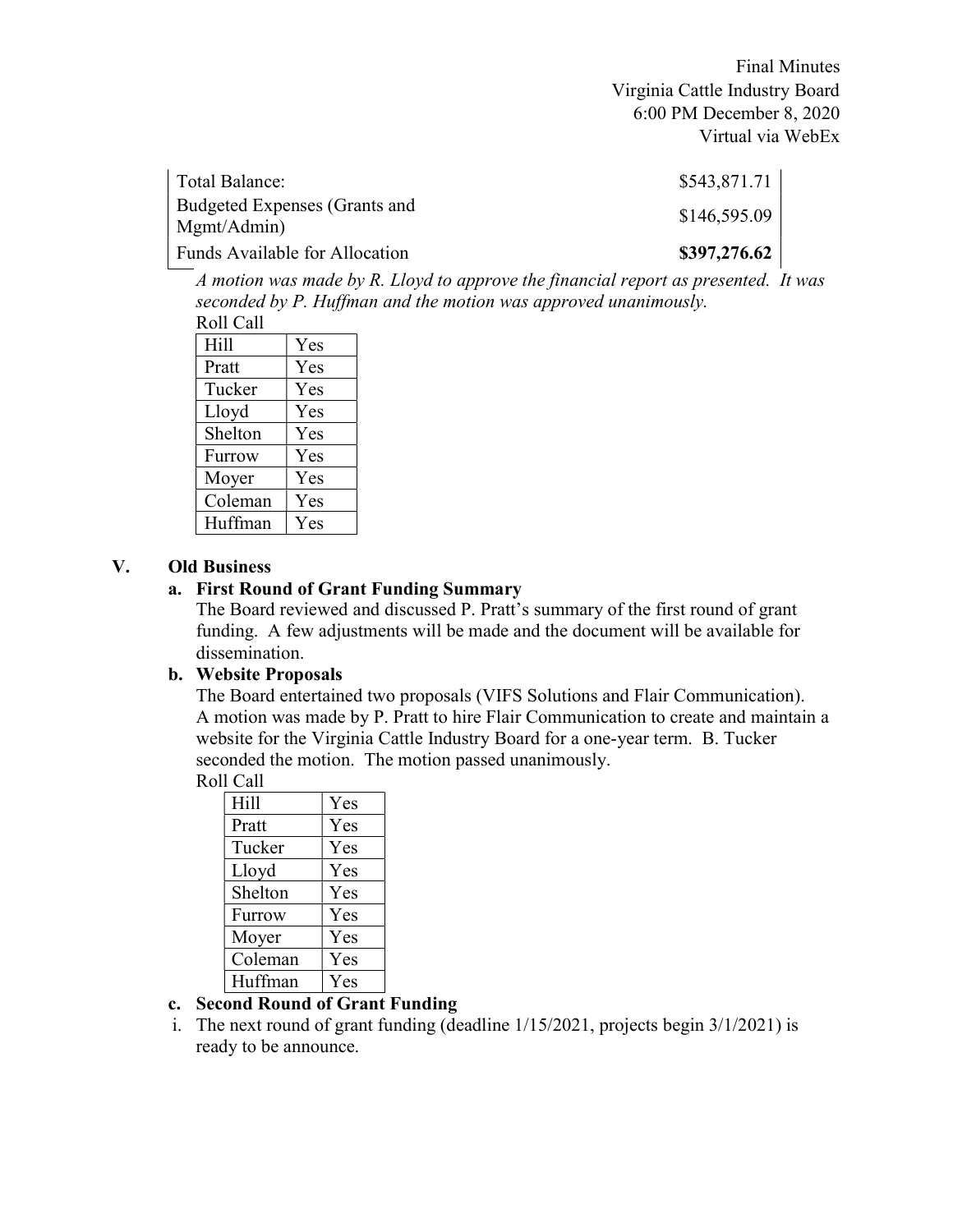Final Minutes Virginia Cattle Industry Board 6:00 PM December 8, 2020 Virtual via WebEx

| Total Balance:                               | \$543,871.71 |
|----------------------------------------------|--------------|
| Budgeted Expenses (Grants and<br>Mgmt/Admin) | \$146,595.09 |
| Funds Available for Allocation               | \$397,276.62 |

A motion was made by R. Lloyd to approve the financial report as presented. It was seconded by P. Huffman and the motion was approved unanimously. Roll Call

| Hill    | Yes |
|---------|-----|
| Pratt   | Yes |
| Tucker  | Yes |
| Lloyd   | Yes |
| Shelton | Yes |
| Furrow  | Yes |
| Moyer   | Yes |
| Coleman | Yes |
| Huffman | Yes |

# V. Old Business

#### a. First Round of Grant Funding Summary

The Board reviewed and discussed P. Pratt's summary of the first round of grant funding. A few adjustments will be made and the document will be available for dissemination.

## b. Website Proposals

The Board entertained two proposals (VIFS Solutions and Flair Communication). A motion was made by P. Pratt to hire Flair Communication to create and maintain a website for the Virginia Cattle Industry Board for a one-year term. B. Tucker seconded the motion. The motion passed unanimously.

Roll Call

| Hill    | Yes |
|---------|-----|
| Pratt   | Yes |
| Tucker  | Yes |
| Lloyd   | Yes |
| Shelton | Yes |
| Furrow  | Yes |
| Moyer   | Yes |
| Coleman | Yes |
| Huffman | Yes |

## c. Second Round of Grant Funding

i. The next round of grant funding (deadline 1/15/2021, projects begin 3/1/2021) is ready to be announce.